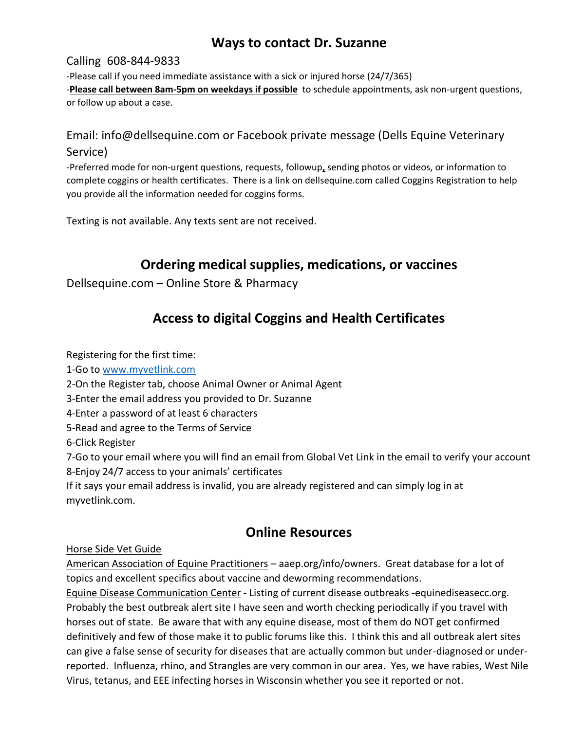### **Ways to contact Dr. Suzanne**

#### Calling 608-844-9833

-Please call if you need immediate assistance with a sick or injured horse (24/7/365) -**Please call between 8am-5pm on weekdays if possible** to schedule appointments, ask non-urgent questions, or follow up about a case.

### Email: info@dellsequine.com or Facebook private message (Dells Equine Veterinary Service)

-Preferred mode for non-urgent questions, requests, followup**,** sending photos or videos, or information to complete coggins or health certificates. There is a link on dellsequine.com called Coggins Registration to help you provide all the information needed for coggins forms.

Texting is not available. Any texts sent are not received.

# **Ordering medical supplies, medications, or vaccines**

Dellsequine.com – Online Store & Pharmacy

# **Access to digital Coggins and Health Certificates**

Registering for the first time:

1-Go to [www.myvetlink.com](http://www.myvetlink.com/)

- 2-On the Register tab, choose Animal Owner or Animal Agent
- 3-Enter the email address you provided to Dr. Suzanne
- 4-Enter a password of at least 6 characters
- 5-Read and agree to the Terms of Service

6-Click Register

7-Go to your email where you will find an email from Global Vet Link in the email to verify your account 8-Enjoy 24/7 access to your animals' certificates

If it says your email address is invalid, you are already registered and can simply log in at myvetlink.com.

## **Online Resources**

Horse Side Vet Guide

American Association of Equine Practitioners – aaep.org/info/owners. Great database for a lot of topics and excellent specifics about vaccine and deworming recommendations.

Equine Disease Communication Center - Listing of current disease outbreaks -equinediseasecc.org. Probably the best outbreak alert site I have seen and worth checking periodically if you travel with horses out of state. Be aware that with any equine disease, most of them do NOT get confirmed definitively and few of those make it to public forums like this. I think this and all outbreak alert sites can give a false sense of security for diseases that are actually common but under-diagnosed or underreported. Influenza, rhino, and Strangles are very common in our area. Yes, we have rabies, West Nile Virus, tetanus, and EEE infecting horses in Wisconsin whether you see it reported or not.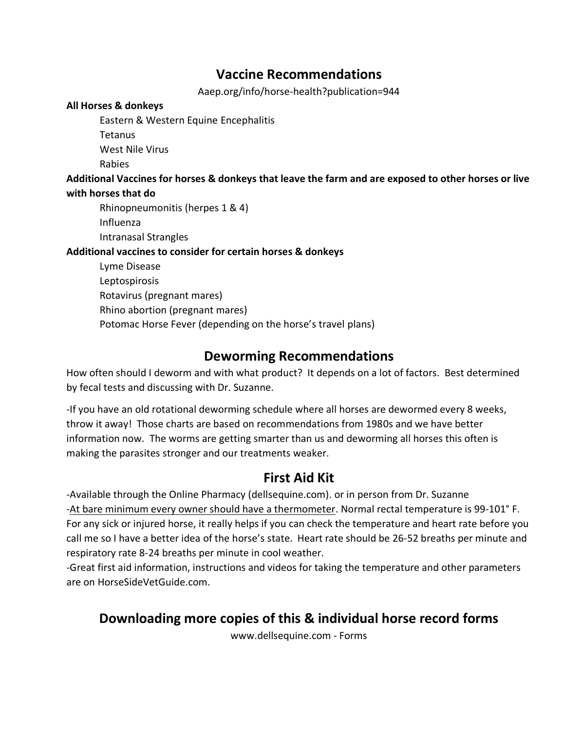### **Vaccine Recommendations**

Aaep.org/info/horse-health?publication=944

#### **All Horses & donkeys**

Eastern & Western Equine Encephalitis

**Tetanus** 

West Nile Virus

Rabies

#### **Additional Vaccines for horses & donkeys that leave the farm and are exposed to other horses or live with horses that do**

Rhinopneumonitis (herpes 1 & 4)

Influenza

Intranasal Strangles

### **Additional vaccines to consider for certain horses & donkeys**

Lyme Disease Leptospirosis Rotavirus (pregnant mares) Rhino abortion (pregnant mares) Potomac Horse Fever (depending on the horse's travel plans)

## **Deworming Recommendations**

How often should I deworm and with what product? It depends on a lot of factors. Best determined by fecal tests and discussing with Dr. Suzanne.

-If you have an old rotational deworming schedule where all horses are dewormed every 8 weeks, throw it away! Those charts are based on recommendations from 1980s and we have better information now. The worms are getting smarter than us and deworming all horses this often is making the parasites stronger and our treatments weaker.

## **First Aid Kit**

-Available through the Online Pharmacy (dellsequine.com). or in person from Dr. Suzanne -At bare minimum every owner should have a thermometer. Normal rectal temperature is 99-101° F. For any sick or injured horse, it really helps if you can check the temperature and heart rate before you call me so I have a better idea of the horse's state. Heart rate should be 26-52 breaths per minute and respiratory rate 8-24 breaths per minute in cool weather.

-Great first aid information, instructions and videos for taking the temperature and other parameters are on HorseSideVetGuide.com.

# **Downloading more copies of this & individual horse record forms**

www.dellsequine.com - Forms